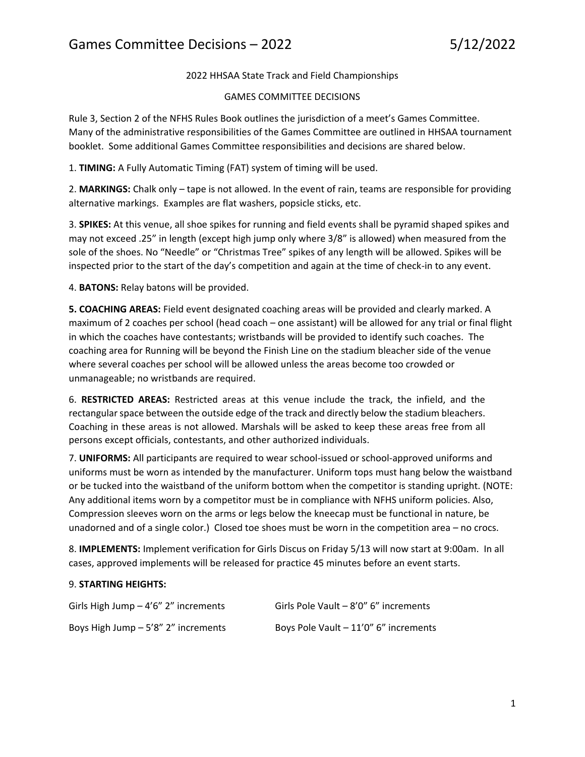2022 HHSAA State Track and Field Championships

# GAMES COMMITTEE DECISIONS

Rule 3, Section 2 of the NFHS Rules Book outlines the jurisdiction of a meet's Games Committee. Many of the administrative responsibilities of the Games Committee are outlined in HHSAA tournament booklet. Some additional Games Committee responsibilities and decisions are shared below.

1. **TIMING:** A Fully Automatic Timing (FAT) system of timing will be used.

2. **MARKINGS:** Chalk only – tape is not allowed. In the event of rain, teams are responsible for providing alternative markings. Examples are flat washers, popsicle sticks, etc.

3. **SPIKES:** At this venue, all shoe spikes for running and field events shall be pyramid shaped spikes and may not exceed .25" in length (except high jump only where 3/8" is allowed) when measured from the sole of the shoes. No "Needle" or "Christmas Tree" spikes of any length will be allowed. Spikes will be inspected prior to the start of the day's competition and again at the time of check-in to any event.

4. **BATONS:** Relay batons will be provided.

**5. COACHING AREAS:** Field event designated coaching areas will be provided and clearly marked. A maximum of 2 coaches per school (head coach – one assistant) will be allowed for any trial or final flight in which the coaches have contestants; wristbands will be provided to identify such coaches. The coaching area for Running will be beyond the Finish Line on the stadium bleacher side of the venue where several coaches per school will be allowed unless the areas become too crowded or unmanageable; no wristbands are required.

6. **RESTRICTED AREAS:** Restricted areas at this venue include the track, the infield, and the rectangular space between the outside edge of the track and directly below the stadium bleachers. Coaching in these areas is not allowed. Marshals will be asked to keep these areas free from all persons except officials, contestants, and other authorized individuals.

7. **UNIFORMS:** All participants are required to wear school-issued or school-approved uniforms and uniforms must be worn as intended by the manufacturer. Uniform tops must hang below the waistband or be tucked into the waistband of the uniform bottom when the competitor is standing upright. (NOTE: Any additional items worn by a competitor must be in compliance with NFHS uniform policies. Also, Compression sleeves worn on the arms or legs below the kneecap must be functional in nature, be unadorned and of a single color.) Closed toe shoes must be worn in the competition area – no crocs.

8. **IMPLEMENTS:** Implement verification for Girls Discus on Friday 5/13 will now start at 9:00am. In all cases, approved implements will be released for practice 45 minutes before an event starts.

# 9. **STARTING HEIGHTS:**

| Girls High Jump $-4'6''$ 2" increments | Girls Pole Vault - 8'0" 6" increments |
|----------------------------------------|---------------------------------------|
| Boys High Jump $-5'8''$ 2" increments  | Boys Pole Vault - 11'0" 6" increments |